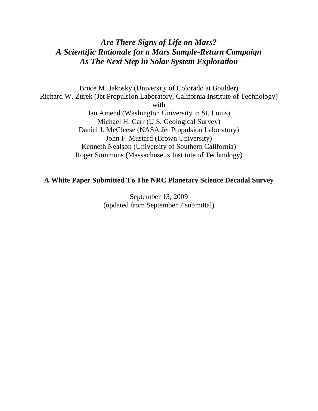# *Are There Signs of Life on Mars? A Scientific Rationale for a Mars Sample-Return Campaign As The Next Step in Solar System Exploration*

Bruce M. Jakosky (University of Colorado at Boulder) Richard W. Zurek (Jet Propulsion Laboratory, California Institute of Technology) with Jan Amend (Washington University in St. Louis) Michael H. Carr (U.S. Geological Survey) Daniel J. McCleese (NASA Jet Propulsion Laboratory) John F. Mustard (Brown University) Kenneth Nealson (University of Southern California) Roger Summons (Massachusetts Institute of Technology)

# **A White Paper Submitted To The NRC Planetary Science Decadal Survey**

September 13, 2009 (updated from September 7 submittal)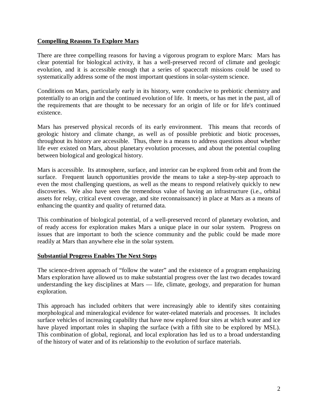#### **Compelling Reasons To Explore Mars**

There are three compelling reasons for having a vigorous program to explore Mars: Mars has clear potential for biological activity, it has a well-preserved record of climate and geologic evolution, and it is accessible enough that a series of spacecraft missions could be used to systematically address some of the most important questions in solar-system science.

Conditions on Mars, particularly early in its history, were conducive to prebiotic chemistry and potentially to an origin and the continued evolution of life. It meets, or has met in the past, all of the requirements that are thought to be necessary for an origin of life or for life's continued existence.

Mars has preserved physical records of its early environment. This means that records of geologic history and climate change, as well as of possible prebiotic and biotic processes, throughout its history are accessible. Thus, there is a means to address questions about whether life ever existed on Mars, about planetary evolution processes, and about the potential coupling between biological and geological history.

Mars is accessible. Its atmosphere, surface, and interior can be explored from orbit and from the surface. Frequent launch opportunities provide the means to take a step-by-step approach to even the most challenging questions, as well as the means to respond relatively quickly to new discoveries. We also have seen the tremendous value of having an infrastructure (i.e., orbital assets for relay, critical event coverage, and site reconnaissance) in place at Mars as a means of enhancing the quantity and quality of returned data.

This combination of biological potential, of a well-preserved record of planetary evolution, and of ready access for exploration makes Mars a unique place in our solar system. Progress on issues that are important to both the science community and the public could be made more readily at Mars than anywhere else in the solar system.

#### **Substantial Progress Enables The Next Steps**

The science-driven approach of "follow the water" and the existence of a program emphasizing Mars exploration have allowed us to make substantial progress over the last two decades toward understanding the key disciplines at Mars — life, climate, geology, and preparation for human exploration.

This approach has included orbiters that were increasingly able to identify sites containing morphological and mineralogical evidence for water-related materials and processes. It includes surface vehicles of increasing capability that have now explored four sites at which water and ice have played important roles in shaping the surface (with a fifth site to be explored by MSL). This combination of global, regional, and local exploration has led us to a broad understanding of the history of water and of its relationship to the evolution of surface materials.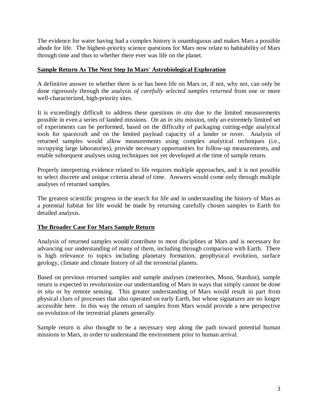The evidence for water having had a complex history is unambiguous and makes Mars a possible abode for life. The highest-priority science questions for Mars now relate to habitability of Mars through time and thus to whether there ever was life on the planet.

#### **Sample Return As The Next Step In Mars' Astrobiological Exploration**

A definitive answer to whether there is or has been life on Mars or, if not, why not, can only be done rigorously through the analysis *of carefully selected samples returned* from one or more well-characterized, high-priority sites.

It is exceedingly difficult to address these questions *in situ* due to the limited measurements possible in even a series of landed missions. On an *in situ* mission, only an extremely limited set of experiments can be performed, based on the difficulty of packaging cutting-edge analytical tools for spacecraft and on the limited payload capacity of a lander or rover. Analysis of returned samples would allow measurements using complex analytical techniques (i.e., occupying large laboratories), provide necessary opportunities for follow-up measurements, and enable subsequent analyses using techniques not yet developed at the time of sample return.

Properly interpreting evidence related to life requires multiple approaches, and it is not possible to select discrete and unique criteria ahead of time. Answers would come only through multiple analyses of returned samples.

The greatest scientific progress in the search for life and in understanding the history of Mars as a potential habitat for life would be made by returning carefully chosen samples to Earth for detailed analysis.

#### **The Broader Case For Mars Sample Return**

Analysis of returned samples would contribute to most disciplines at Mars and is necessary for advancing our understanding of many of them, including through comparison with Earth. There is high relevance to topics including planetary formation, geophysical evolution, surface geology, climate and climate history of all the terrestrial planets.

Based on previous returned samples and sample analyses (meteorites, Moon, Stardust), sample return is expected to revolutionize our understanding of Mars in ways that simply cannot be done *in situ* or by remote sensing. This greater understanding of Mars would result in part from physical clues of processes that also operated on early Earth, but whose signatures are no longer accessible here. In this way the return of samples from Mars would provide a new perspective on evolution of the terrestrial planets generally.

Sample return is also thought to be a necessary step along the path toward potential human missions to Mars, in order to understand the environment prior to human arrival.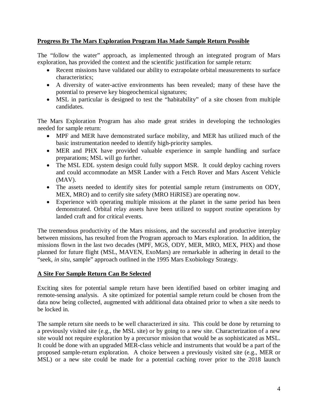#### **Progress By The Mars Exploration Program Has Made Sample Return Possible**

The "follow the water" approach, as implemented through an integrated program of Mars exploration, has provided the context and the scientific justification for sample return:

- Recent missions have validated our ability to extrapolate orbital measurements to surface characteristics;
- A diversity of water-active environments has been revealed; many of these have the potential to preserve key biogeochemical signatures;
- MSL in particular is designed to test the "habitability" of a site chosen from multiple candidates.

The Mars Exploration Program has also made great strides in developing the technologies needed for sample return:

- MPF and MER have demonstrated surface mobility, and MER has utilized much of the basic instrumentation needed to identify high-priority samples.
- MER and PHX have provided valuable experience in sample handling and surface preparations; MSL will go further.
- The MSL EDL system design could fully support MSR. It could deploy caching rovers and could accommodate an MSR Lander with a Fetch Rover and Mars Ascent Vehicle (MAV).
- The assets needed to identify sites for potential sample return (instruments on ODY, MEX, MRO) and to certify site safety (MRO HiRISE) are operating now.
- Experience with operating multiple missions at the planet in the same period has been demonstrated. Orbital relay assets have been utilized to support routine operations by landed craft and for critical events.

The tremendous productivity of the Mars missions, and the successful and productive interplay between missions, has resulted from the Program approach to Mars exploration. In addition, the missions flown in the last two decades (MPF, MGS, ODY, MER, MRO, MEX, PHX) and those planned for future flight (MSL, MAVEN, ExoMars) are remarkable in adhering in detail to the "seek, *in situ*, sample" approach outlined in the 1995 Mars Exobiology Strategy.

## **A Site For Sample Return Can Be Selected**

Exciting sites for potential sample return have been identified based on orbiter imaging and remote-sensing analysis. A site optimized for potential sample return could be chosen from the data now being collected, augmented with additional data obtained prior to when a site needs to be locked in.

The sample return site needs to be well characterized *in situ.* This could be done by returning to a previously visited site (e.g., the MSL site) or by going to a new site. Characterization of a new site would not require exploration by a precursor mission that would be as sophisticated as MSL. It could be done with an upgraded MER-class vehicle and instruments that would be a part of the proposed sample-return exploration. A choice between a previously visited site (e.g., MER or MSL) or a new site could be made for a potential caching rover prior to the 2018 launch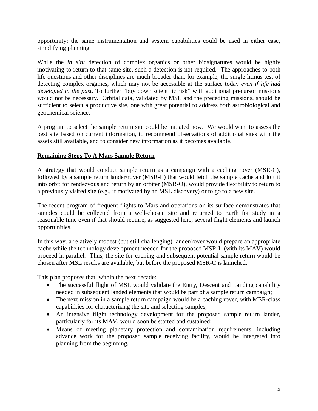opportunity; the same instrumentation and system capabilities could be used in either case, simplifying planning.

While the *in situ* detection of complex organics or other biosignatures would be highly motivating to return to that same site, such a detection is not required. The approaches to both life questions and other disciplines are much broader than, for example, the single litmus test of detecting complex organics, which may not be accessible at the surface today *even if life had developed in the past.* To further "buy down scientific risk" with additional precursor missions would not be necessary. Orbital data, validated by MSL and the preceding missions, should be sufficient to select a productive site, one with great potential to address both astrobiological and geochemical science.

A program to select the sample return site could be initiated now. We would want to assess the best site based on current information, to recommend observations of additional sites with the assets still available, and to consider new information as it becomes available.

#### **Remaining Steps To A Mars Sample Return**

A strategy that would conduct sample return as a campaign with a caching rover (MSR-C), followed by a sample return lander/rover (MSR-L) that would fetch the sample cache and loft it into orbit for rendezvous and return by an orbiter (MSR-O), would provide flexibility to return to a previously visited site (e.g., if motivated by an MSL discovery) or to go to a new site.

The recent program of frequent flights to Mars and operations on its surface demonstrates that samples could be collected from a well-chosen site and returned to Earth for study in a reasonable time even if that should require, as suggested here, several flight elements and launch opportunities.

In this way, a relatively modest (but still challenging) lander/rover would prepare an appropriate cache while the technology development needed for the proposed MSR-L (with its MAV) would proceed in parallel. Thus, the site for caching and subsequent potential sample return would be chosen after MSL results are available, but before the proposed MSR-C is launched.

This plan proposes that, within the next decade:

- The successful flight of MSL would validate the Entry, Descent and Landing capability needed in subsequent landed elements that would be part of a sample return campaign;
- The next mission in a sample return campaign would be a caching rover, with MER-class capabilities for characterizing the site and selecting samples;
- An intensive flight technology development for the proposed sample return lander, particularly for its MAV, would soon be started and sustained;
- Means of meeting planetary protection and contamination requirements, including advance work for the proposed sample receiving facility, would be integrated into planning from the beginning.